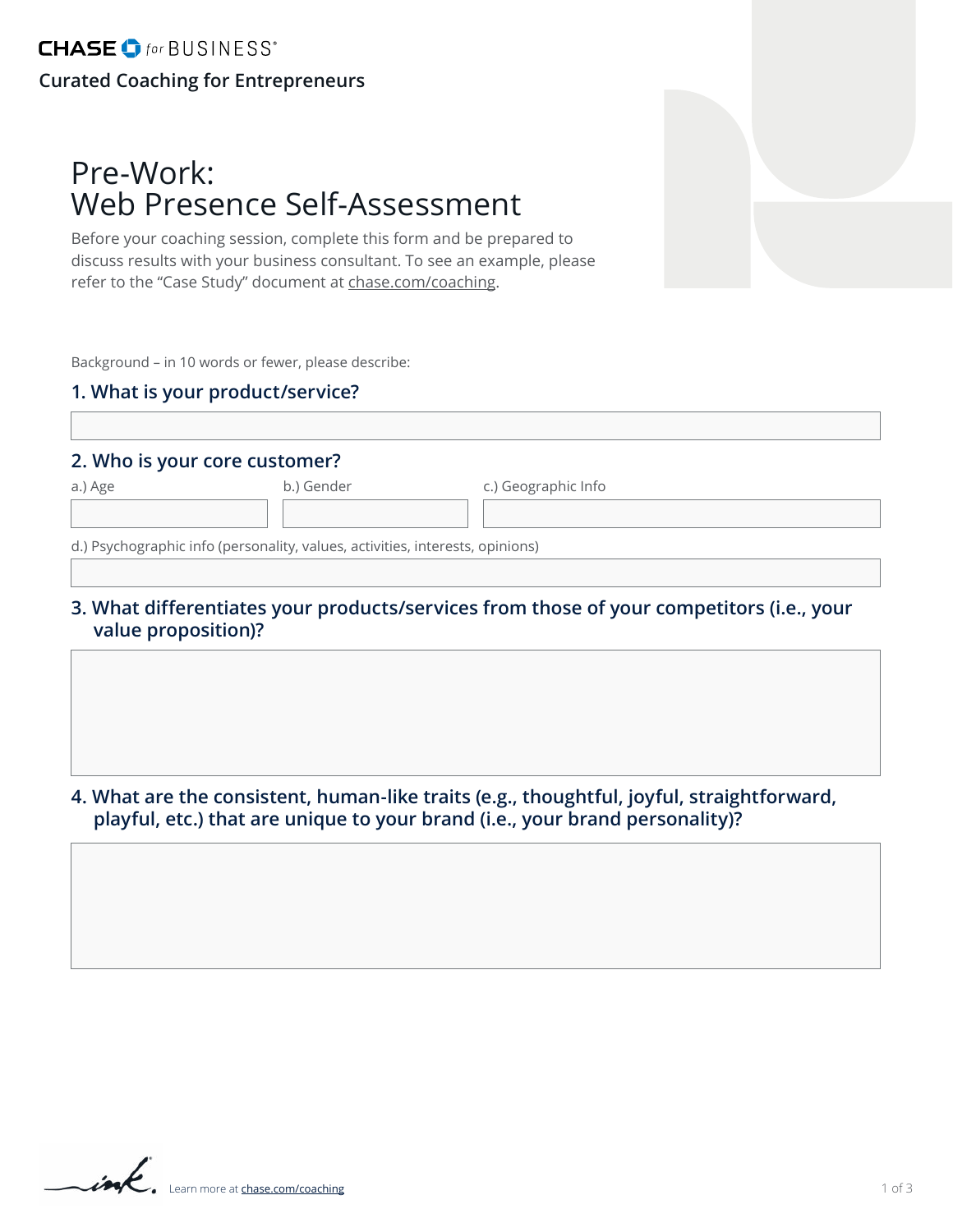# Pre-Work: Web Presence Self-Assessment

Before your coaching session, complete this form and be prepared to discuss results with your business consultant. To see an example, please refer to the "Case Study" document at [chase.com/coaching.](http://chase.com/coaching)

Background – in 10 words or fewer, please describe:

#### **1. What is your product/service?**

#### **2. Who is your core customer?**

b.) Gender c.) Geographic Info

d.) Psychographic info (personality, values, activities, interests, opinions)

**3. What differentiates your products/services from those of your competitors (i.e., your value proposition)?**

**4. What are the consistent, human-like traits (e.g., thoughtful, joyful, straightforward, playful, etc.) that are unique to your brand (i.e., your brand personality)?**

ink Learn more at **[chase.com/coaching](http://chase.com/coaching)**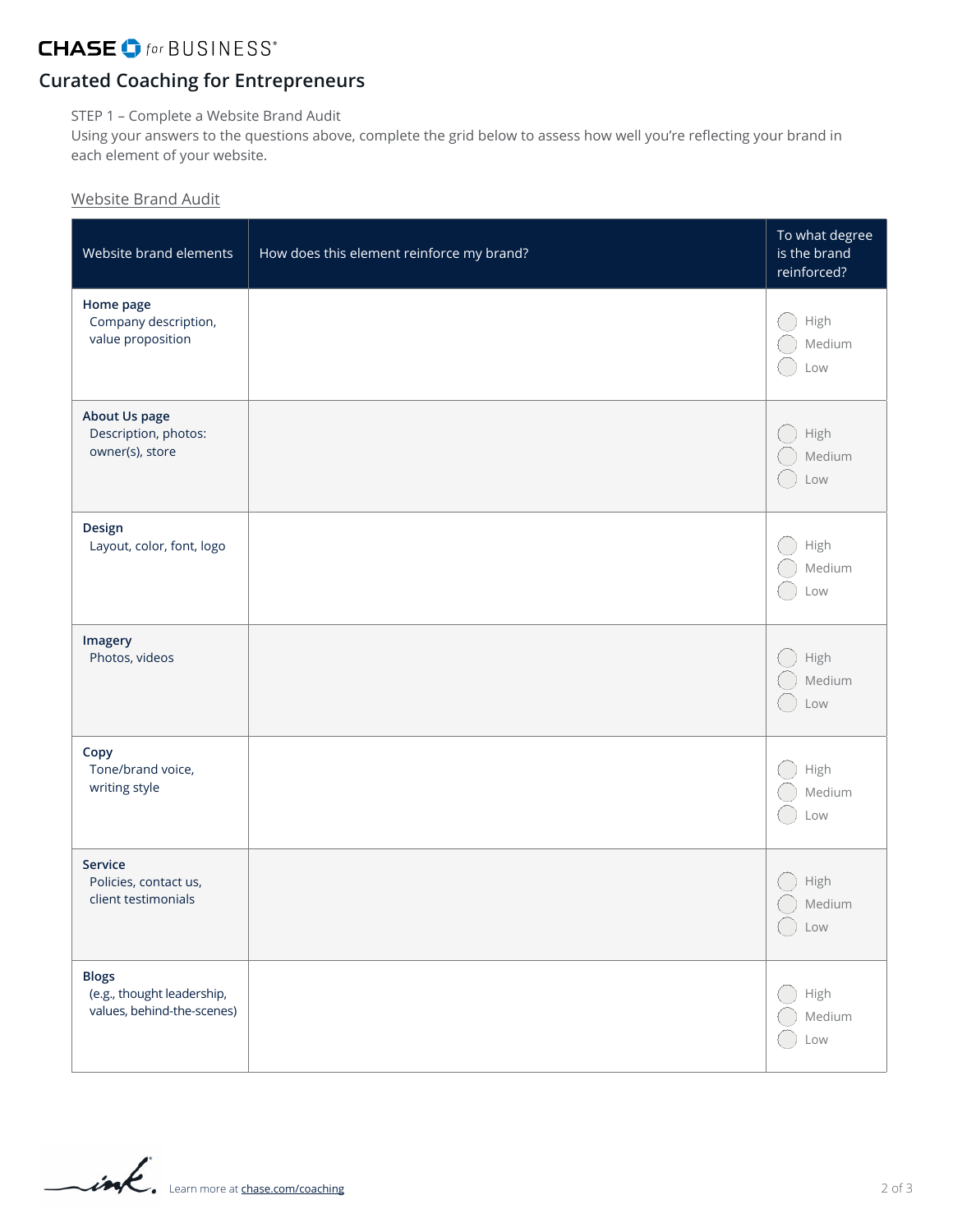### **CHASE** of for BUSINESS<sup>®</sup>

## **Curated Coaching for Entrepreneurs**

STEP 1 – Complete a Website Brand Audit

Using your answers to the questions above, complete the grid below to assess how well you're reflecting your brand in each element of your website.

### Website Brand Audit

| Website brand elements                                                   | How does this element reinforce my brand? | To what degree<br>is the brand<br>reinforced? |
|--------------------------------------------------------------------------|-------------------------------------------|-----------------------------------------------|
| Home page<br>Company description,<br>value proposition                   |                                           | High<br>Medium<br>Low                         |
| About Us page<br>Description, photos:<br>owner(s), store                 |                                           | High<br>Medium<br>Low                         |
| Design<br>Layout, color, font, logo                                      |                                           | High<br>Medium<br>Low                         |
| Imagery<br>Photos, videos                                                |                                           | High<br>Medium<br>Low                         |
| Copy<br>Tone/brand voice,<br>writing style                               |                                           | High<br>Medium<br>Low                         |
| Service<br>Policies, contact us,<br>client testimonials                  |                                           | High<br>Medium<br>Low                         |
| <b>Blogs</b><br>(e.g., thought leadership,<br>values, behind-the-scenes) |                                           | High<br>Medium<br>Low                         |